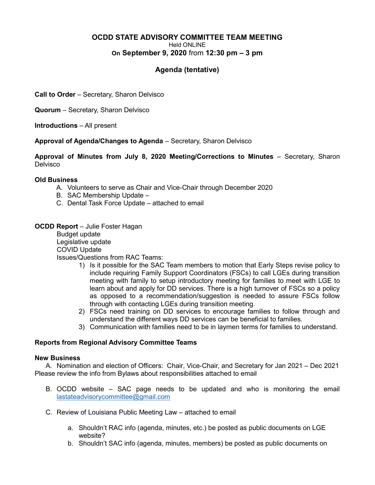## OCDD STATE ADVISORY COMMITTEE TEAM MEETING Held ONLINE On September 9, 2020 from 12:30 pm – 3 pm

# Agenda (tentative)

Call to Order – Secretary, Sharon Delvisco

Quorum – Secretary, Sharon Delvisco

Introductions – All present

Approval of Agenda/Changes to Agenda – Secretary, Sharon Delvisco

Approval of Minutes from July 8, 2020 Meeting/Corrections to Minutes – Secretary, Sharon **Delvisco** 

### Old Business

- A. Volunteers to serve as Chair and Vice-Chair through December 2020
- B. SAC Membership Update –
- C. Dental Task Force Update attached to email

# **OCDD Report** – Julie Foster Hagan

 Budget update Legislative update COVID Update Issues/Questions from RAC Teams:

- 1) Is it possible for the SAC Team members to motion that Early Steps revise policy to include requiring Family Support Coordinators (FSCs) to call LGEs during transition meeting with family to setup introductory meeting for families to meet with LGE to learn about and apply for DD services. There is a high turnover of FSCs so a policy as opposed to a recommendation/suggestion is needed to assure FSCs follow through with contacting LGEs during transition meeting.
- 2) FSCs need training on DD services to encourage families to follow through and understand the different ways DD services can be beneficial to families.
- 3) Communication with families need to be in laymen terms for families to understand.

## Reports from Regional Advisory Committee Teams

### New Business

A. Nomination and election of Officers: Chair, Vice-Chair, and Secretary for Jan 2021 – Dec 2021 Please review the info from Bylaws about responsibilities attached to email

- B. OCDD website SAC page needs to be updated and who is monitoring the email lastateadvisorycommittee@gmail.com
- C. Review of Louisiana Public Meeting Law attached to email
	- a. Shouldn't RAC info (agenda, minutes, etc.) be posted as public documents on LGE website?
	- b. Shouldn't SAC info (agenda, minutes, members) be posted as public documents on